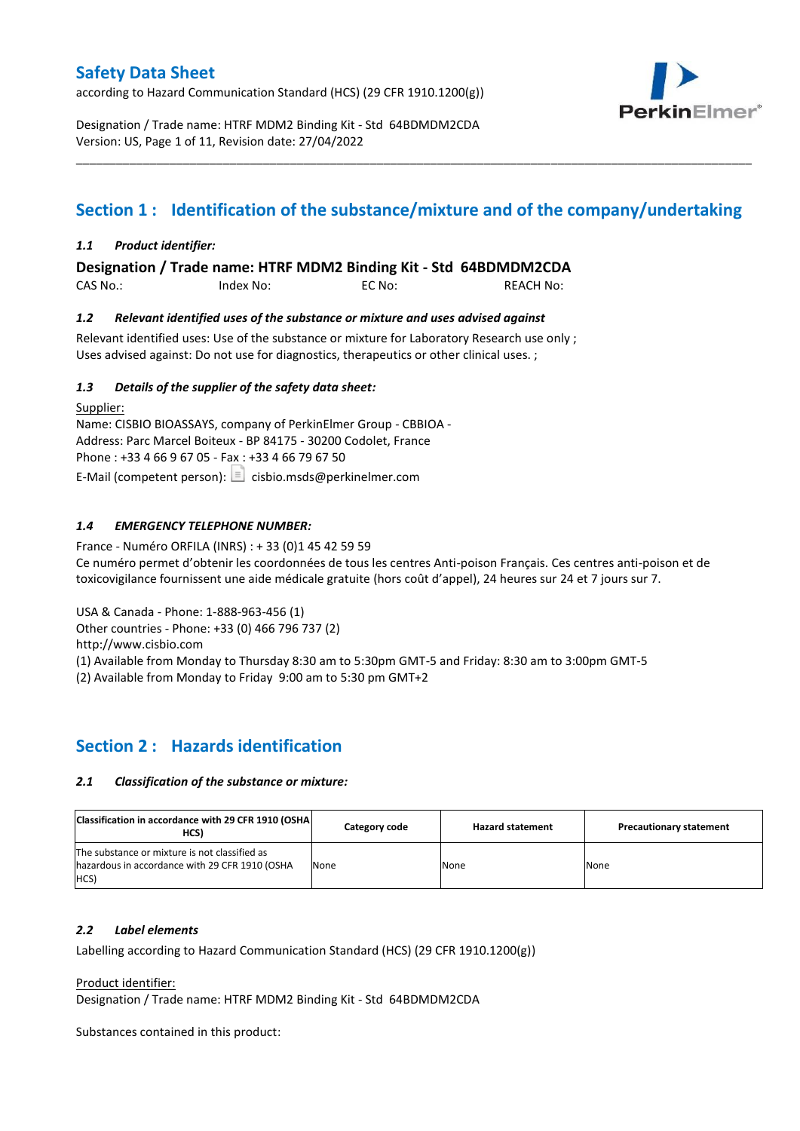according to Hazard Communication Standard (HCS) (29 CFR 1910.1200(g))



Designation / Trade name: HTRF MDM2 Binding Kit - Std 64BDMDM2CDA Version: US, Page 1 of 11, Revision date: 27/04/2022

# **Section 1 : Identification of the substance/mixture and of the company/undertaking**

\_\_\_\_\_\_\_\_\_\_\_\_\_\_\_\_\_\_\_\_\_\_\_\_\_\_\_\_\_\_\_\_\_\_\_\_\_\_\_\_\_\_\_\_\_\_\_\_\_\_\_\_\_\_\_\_\_\_\_\_\_\_\_\_\_\_\_\_\_\_\_\_\_\_\_\_\_\_\_\_\_\_\_\_\_\_\_\_\_\_\_\_\_\_\_\_\_\_\_\_\_

### *1.1 Product identifier:*

**Designation / Trade name: HTRF MDM2 Binding Kit - Std 64BDMDM2CDA** 

CAS No.: Index No: EC No: REACH No:

#### *1.2 Relevant identified uses of the substance or mixture and uses advised against*

Relevant identified uses: Use of the substance or mixture for Laboratory Research use only ; Uses advised against: Do not use for diagnostics, therapeutics or other clinical uses. ;

#### *1.3 Details of the supplier of the safety data sheet:*

Supplier: Name: CISBIO BIOASSAYS, company of PerkinElmer Group - CBBIOA - Address: Parc Marcel Boiteux - BP 84175 - 30200 Codolet, France Phone : +33 4 66 9 67 05 - Fax : +33 4 66 79 67 50 E-Mail (competent person):  $\boxed{\equiv}$  cisbio.msds@perkinelmer.com

### *1.4 EMERGENCY TELEPHONE NUMBER:*

France - Numéro ORFILA (INRS) : + 33 (0)1 45 42 59 59 Ce numéro permet d'obtenir les coordonnées de tous les centres Anti-poison Français. Ces centres anti-poison et de toxicovigilance fournissent une aide médicale gratuite (hors coût d'appel), 24 heures sur 24 et 7 jours sur 7.

USA & Canada - Phone: 1-888-963-456 (1)

Other countries - Phone: +33 (0) 466 796 737 (2)

http://www.cisbio.com

(1) Available from Monday to Thursday 8:30 am to 5:30pm GMT-5 and Friday: 8:30 am to 3:00pm GMT-5

(2) Available from Monday to Friday 9:00 am to 5:30 pm GMT+2

### **Section 2 : Hazards identification**

#### *2.1 Classification of the substance or mixture:*

| Classification in accordance with 29 CFR 1910 (OSHA)<br>HCS)                                            | Category code | <b>Hazard statement</b> | <b>Precautionary statement</b> |
|---------------------------------------------------------------------------------------------------------|---------------|-------------------------|--------------------------------|
| The substance or mixture is not classified as<br>hazardous in accordance with 29 CFR 1910 (OSHA<br>HCS) | None          | None                    | None                           |

#### *2.2 Label elements*

Labelling according to Hazard Communication Standard (HCS) (29 CFR 1910.1200(g))

Product identifier:

Designation / Trade name: HTRF MDM2 Binding Kit - Std 64BDMDM2CDA

Substances contained in this product: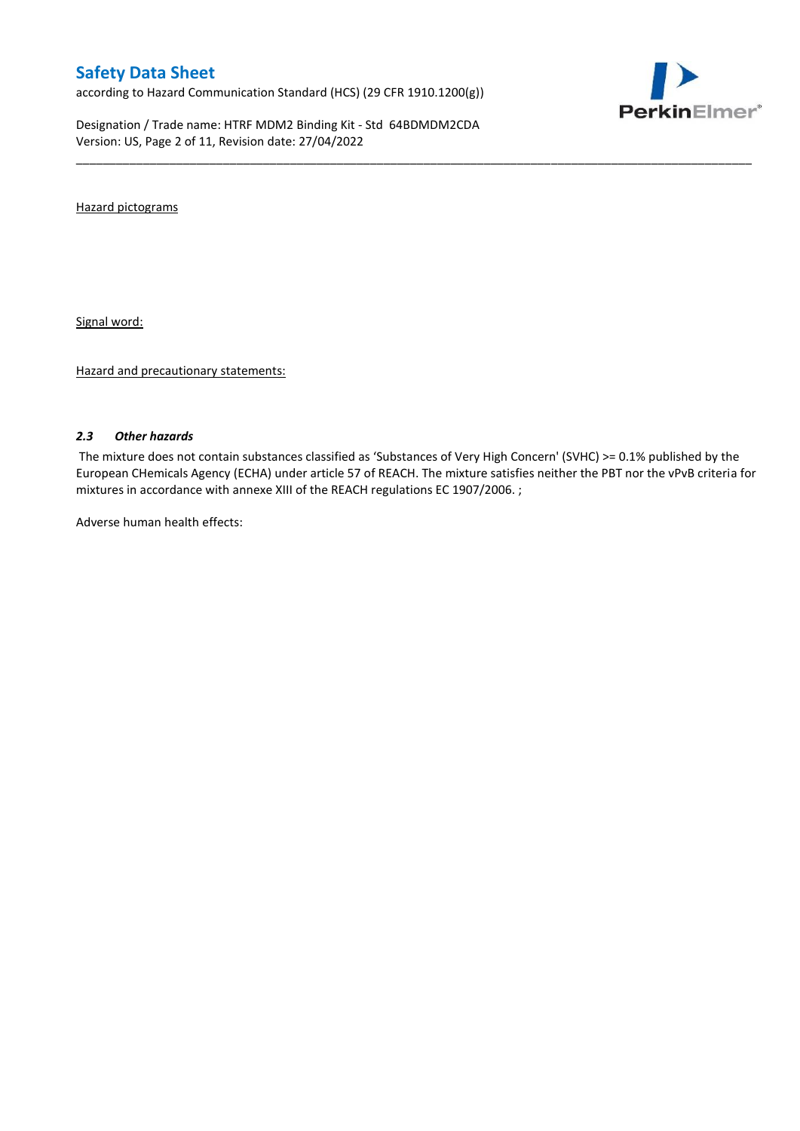according to Hazard Communication Standard (HCS) (29 CFR 1910.1200(g))

Designation / Trade name: HTRF MDM2 Binding Kit - Std 64BDMDM2CDA Version: US, Page 2 of 11, Revision date: 27/04/2022



Hazard pictograms

Signal word:

Hazard and precautionary statements:

#### *2.3 Other hazards*

The mixture does not contain substances classified as 'Substances of Very High Concern' (SVHC) >= 0.1% published by the European CHemicals Agency (ECHA) under article 57 of REACH. The mixture satisfies neither the PBT nor the vPvB criteria for mixtures in accordance with annexe XIII of the REACH regulations EC 1907/2006. ;

\_\_\_\_\_\_\_\_\_\_\_\_\_\_\_\_\_\_\_\_\_\_\_\_\_\_\_\_\_\_\_\_\_\_\_\_\_\_\_\_\_\_\_\_\_\_\_\_\_\_\_\_\_\_\_\_\_\_\_\_\_\_\_\_\_\_\_\_\_\_\_\_\_\_\_\_\_\_\_\_\_\_\_\_\_\_\_\_\_\_\_\_\_\_\_\_\_\_\_\_\_

Adverse human health effects: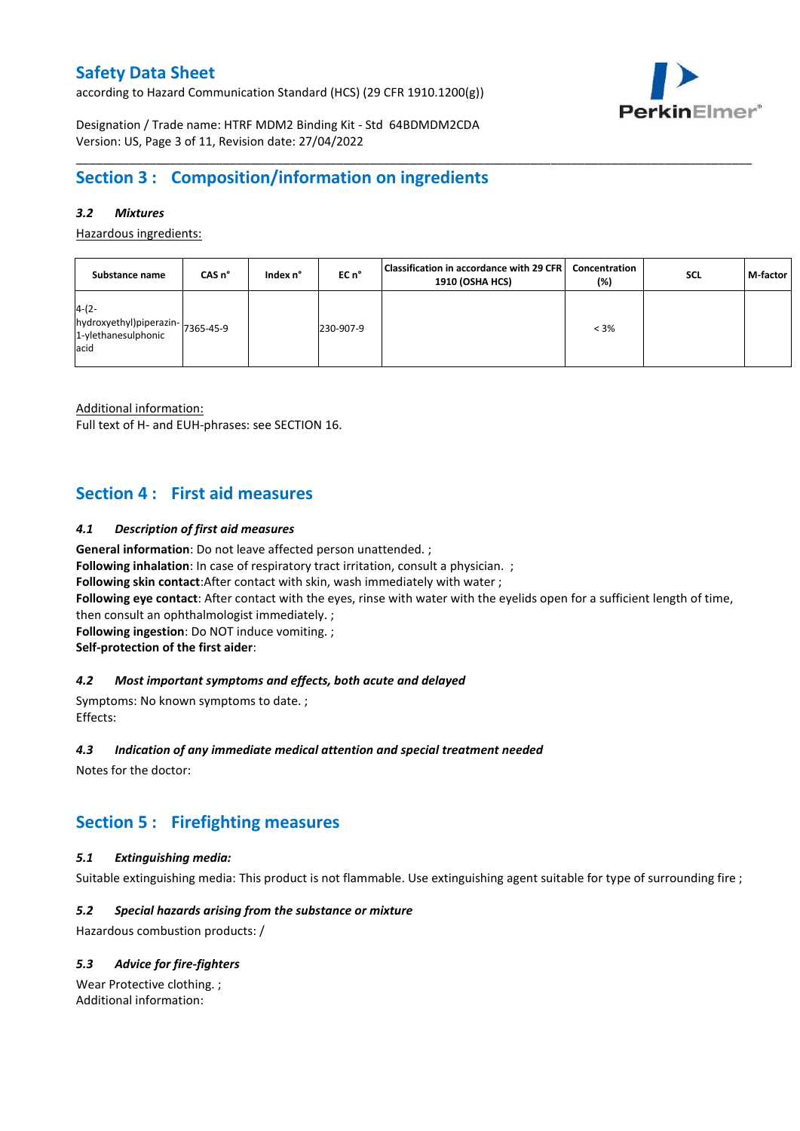according to Hazard Communication Standard (HCS) (29 CFR 1910.1200(g))



Designation / Trade name: HTRF MDM2 Binding Kit - Std 64BDMDM2CDA Version: US, Page 3 of 11, Revision date: 27/04/2022

# **Section 3 : Composition/information on ingredients**

### *3.2 Mixtures*

Hazardous ingredients:

| Substance name                                                              | CAS <sub>n</sub> ° | Index n° | EC n°     | Classification in accordance with 29 CFR   Concentration<br>1910 (OSHA HCS) | (%)     | <b>SCL</b> | M-factor |
|-----------------------------------------------------------------------------|--------------------|----------|-----------|-----------------------------------------------------------------------------|---------|------------|----------|
| $4-(2-$<br>hydroxyethyl)piperazin-7365-45-9<br>1-ylethanesulphonic<br>lacid |                    |          | 230-907-9 |                                                                             | $< 3\%$ |            |          |

\_\_\_\_\_\_\_\_\_\_\_\_\_\_\_\_\_\_\_\_\_\_\_\_\_\_\_\_\_\_\_\_\_\_\_\_\_\_\_\_\_\_\_\_\_\_\_\_\_\_\_\_\_\_\_\_\_\_\_\_\_\_\_\_\_\_\_\_\_\_\_\_\_\_\_\_\_\_\_\_\_\_\_\_\_\_\_\_\_\_\_\_\_\_\_\_\_\_\_\_\_

Additional information:

Full text of H- and EUH-phrases: see SECTION 16.

### **Section 4 : First aid measures**

### *4.1 Description of first aid measures*

**General information**: Do not leave affected person unattended. ;

**Following inhalation**: In case of respiratory tract irritation, consult a physician. ;

**Following skin contact**:After contact with skin, wash immediately with water ;

**Following eye contact**: After contact with the eyes, rinse with water with the eyelids open for a sufficient length of time,

then consult an ophthalmologist immediately. ;

**Following ingestion**: Do NOT induce vomiting. ;

**Self-protection of the first aider**:

### *4.2 Most important symptoms and effects, both acute and delayed*

Symptoms: No known symptoms to date. ; Effects:

### *4.3 Indication of any immediate medical attention and special treatment needed*

Notes for the doctor:

# **Section 5 : Firefighting measures**

### *5.1 Extinguishing media:*

Suitable extinguishing media: This product is not flammable. Use extinguishing agent suitable for type of surrounding fire ;

### *5.2 Special hazards arising from the substance or mixture*

Hazardous combustion products: /

### *5.3 Advice for fire-fighters*

Wear Protective clothing. ; Additional information: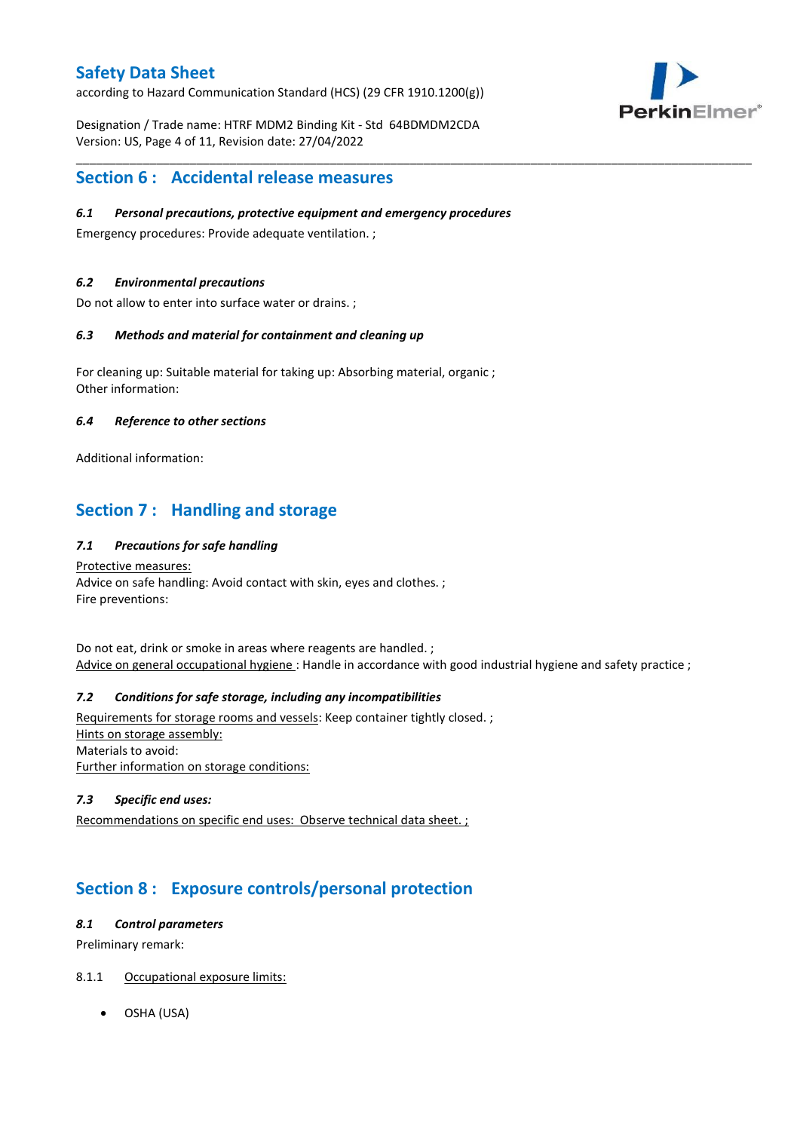according to Hazard Communication Standard (HCS) (29 CFR 1910.1200(g))



Designation / Trade name: HTRF MDM2 Binding Kit - Std 64BDMDM2CDA Version: US, Page 4 of 11, Revision date: 27/04/2022

### **Section 6 : Accidental release measures**

### *6.1 Personal precautions, protective equipment and emergency procedures*

Emergency procedures: Provide adequate ventilation. ;

### *6.2 Environmental precautions*

Do not allow to enter into surface water or drains. ;

### *6.3 Methods and material for containment and cleaning up*

For cleaning up: Suitable material for taking up: Absorbing material, organic ; Other information:

#### *6.4 Reference to other sections*

Additional information:

# **Section 7 : Handling and storage**

### *7.1 Precautions for safe handling*

Protective measures: Advice on safe handling: Avoid contact with skin, eyes and clothes. ; Fire preventions:

Do not eat, drink or smoke in areas where reagents are handled. ; Advice on general occupational hygiene : Handle in accordance with good industrial hygiene and safety practice ;

\_\_\_\_\_\_\_\_\_\_\_\_\_\_\_\_\_\_\_\_\_\_\_\_\_\_\_\_\_\_\_\_\_\_\_\_\_\_\_\_\_\_\_\_\_\_\_\_\_\_\_\_\_\_\_\_\_\_\_\_\_\_\_\_\_\_\_\_\_\_\_\_\_\_\_\_\_\_\_\_\_\_\_\_\_\_\_\_\_\_\_\_\_\_\_\_\_\_\_\_\_

### *7.2 Conditions for safe storage, including any incompatibilities*

Requirements for storage rooms and vessels: Keep container tightly closed. ; Hints on storage assembly: Materials to avoid: Further information on storage conditions:

### *7.3 Specific end uses:*

Recommendations on specific end uses: Observe technical data sheet. ;

# **Section 8 : Exposure controls/personal protection**

#### *8.1 Control parameters*

Preliminary remark:

### 8.1.1 Occupational exposure limits:

OSHA (USA)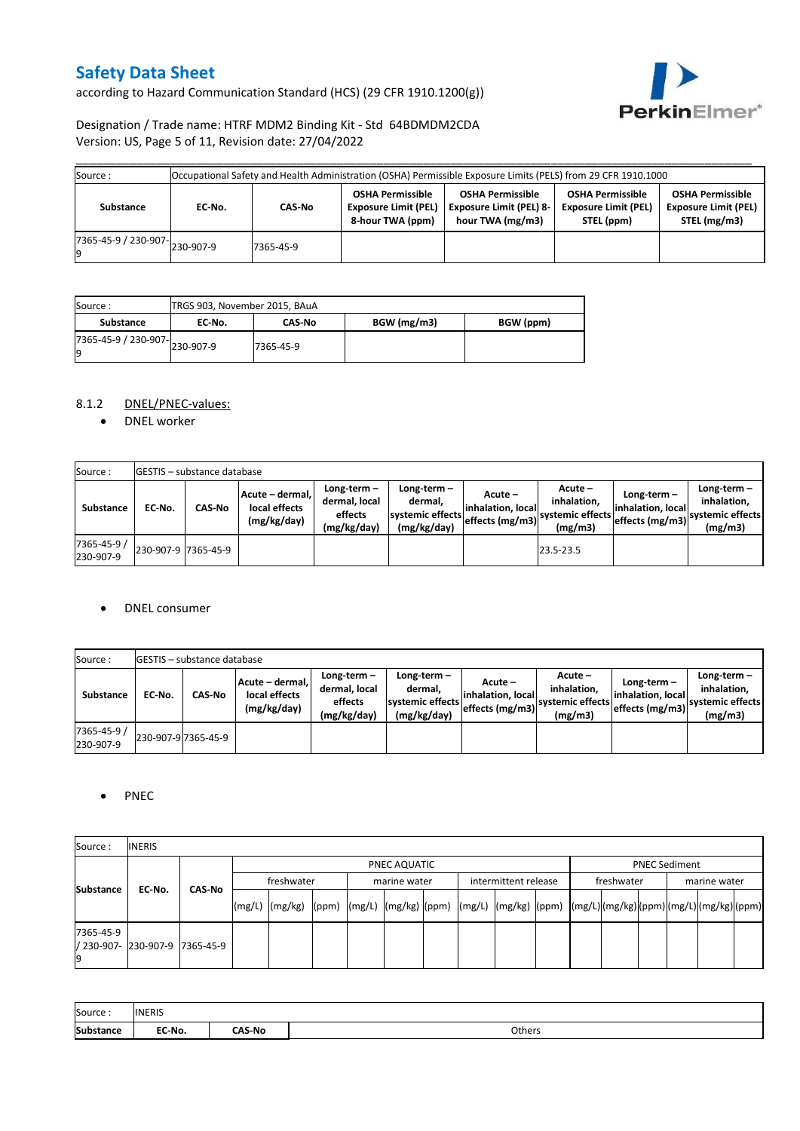according to Hazard Communication Standard (HCS) (29 CFR 1910.1200(g))



### Designation / Trade name: HTRF MDM2 Binding Kit - Std 64BDMDM2CDA Version: US, Page 5 of 11, Revision date: 27/04/2022

| Source :                      | Occupational Safety and Health Administration (OSHA) Permissible Exposure Limits (PELS) from 29 CFR 1910.1000 |           |                                                                            |                                                                               |                                                                      |                                                                        |  |  |  |  |  |  |  |
|-------------------------------|---------------------------------------------------------------------------------------------------------------|-----------|----------------------------------------------------------------------------|-------------------------------------------------------------------------------|----------------------------------------------------------------------|------------------------------------------------------------------------|--|--|--|--|--|--|--|
| Substance                     | EC-No.                                                                                                        | CAS-No    | <b>OSHA Permissible</b><br><b>Exposure Limit (PEL)</b><br>8-hour TWA (ppm) | <b>OSHA Permissible</b><br><b>Exposure Limit (PEL) 8-</b><br>hour TWA (mg/m3) | <b>OSHA Permissible</b><br><b>Exposure Limit (PEL)</b><br>STEL (ppm) | <b>OSHA Permissible</b><br><b>Exposure Limit (PEL)</b><br>STEL (mg/m3) |  |  |  |  |  |  |  |
| r365-45-9 / 230-907-230-907-9 |                                                                                                               | 7365-45-9 |                                                                            |                                                                               |                                                                      |                                                                        |  |  |  |  |  |  |  |

| Source:                             | TRGS 903, November 2015, BAuA |               |             |           |
|-------------------------------------|-------------------------------|---------------|-------------|-----------|
| Substance                           | EC No.                        | <b>CAS-No</b> | BGW (mg/m3) | BGW (ppm) |
| 7365-45-9 / 230-907-230-907-9<br>Ιg |                               | 7365-45-9     |             |           |

### 8.1.2 DNEL/PNEC-values:

• DNEL worker

| Source:                  |                     | <b>GESTIS</b> - substance database |                                                 |                                                       |                                                          |                                                  |                                                       |                                                         |                                                             |
|--------------------------|---------------------|------------------------------------|-------------------------------------------------|-------------------------------------------------------|----------------------------------------------------------|--------------------------------------------------|-------------------------------------------------------|---------------------------------------------------------|-------------------------------------------------------------|
| Substance                | EC No.              | <b>CAS-No</b>                      | Acute - dermal,<br>local effects<br>(mg/kg/day) | Long-term-<br>dermal, local<br>effects<br>(mg/kg/day) | Long-term-<br>dermal.<br>systemic effects<br>(mg/kg/day) | Acute –<br>linhalation. local<br>effects (mg/m3) | Acute –<br>inhalation.<br>systemic effects<br>(mg/m3) | Long-term $-$<br>linhalation. locall<br>effects (mg/m3) | $Long-term -$<br>inhalation,<br>systemic effects<br>(mg/m3) |
| 7365-45-9 /<br>230-907-9 | 230-907-9 7365-45-9 |                                    |                                                 |                                                       |                                                          |                                                  | 23.5-23.5                                             |                                                         |                                                             |

#### DNEL consumer

| Source:                  |        | <b>GESTIS</b> - substance database |                                                 |                                                          |                                                             |                                                  |                                                       |                                                     |                                                          |
|--------------------------|--------|------------------------------------|-------------------------------------------------|----------------------------------------------------------|-------------------------------------------------------------|--------------------------------------------------|-------------------------------------------------------|-----------------------------------------------------|----------------------------------------------------------|
| <b>Substance</b>         | EC No. | <b>CAS-No</b>                      | Acute - dermal.<br>local effects<br>(mg/kg/day) | Long-term $-$<br>dermal. local<br>effects<br>(mg/kg/day) | Long-term $-$<br>dermal,<br>systemic effects<br>(mg/kg/day) | Acute –<br>linhalation. local<br>effects (mg/m3) | Acute -<br>inhalation.<br>systemic effects<br>(mg/m3) | Long-term-<br>linhalation. local<br>effects (mg/m3) | Long-term-<br>inhalation.<br>systemic effects<br>(mg/m3) |
| 7365-45-9 /<br>230-907-9 |        | 230-907-9 7365-45-9                |                                                 |                                                          |                                                             |                                                  |                                                       |                                                     |                                                          |

### • PNEC

| Source:          | <b>INERIS</b>                  |        |            |                                                                                                                    |  |  |              |  |                                    |  |  |                      |              |  |  |  |
|------------------|--------------------------------|--------|------------|--------------------------------------------------------------------------------------------------------------------|--|--|--------------|--|------------------------------------|--|--|----------------------|--------------|--|--|--|
|                  |                                |        |            | PNEC AQUATIC                                                                                                       |  |  |              |  |                                    |  |  | <b>PNEC Sediment</b> |              |  |  |  |
|                  | EC-No.                         | CAS-No | freshwater |                                                                                                                    |  |  | marine water |  | intermittent release<br>freshwater |  |  |                      | marine water |  |  |  |
| <b>Substance</b> |                                |        |            | [(mg/L)  (mg/kg)  (ppm)  (mg/L)  (mg/kg)  (ppm)  (mg/L)  (mg/kg)  (ppm)  (mg/L) (mg/kg) (ppm) (mg/L) (mg/kg) (ppm) |  |  |              |  |                                    |  |  |                      |              |  |  |  |
| 7365-45-9        | / 230-907- 230-907-9 7365-45-9 |        |            |                                                                                                                    |  |  |              |  |                                    |  |  |                      |              |  |  |  |

| Source:   | <b>INERIS</b> |               |        |
|-----------|---------------|---------------|--------|
| Substance | EC-No.        | <b>CAS-No</b> | Others |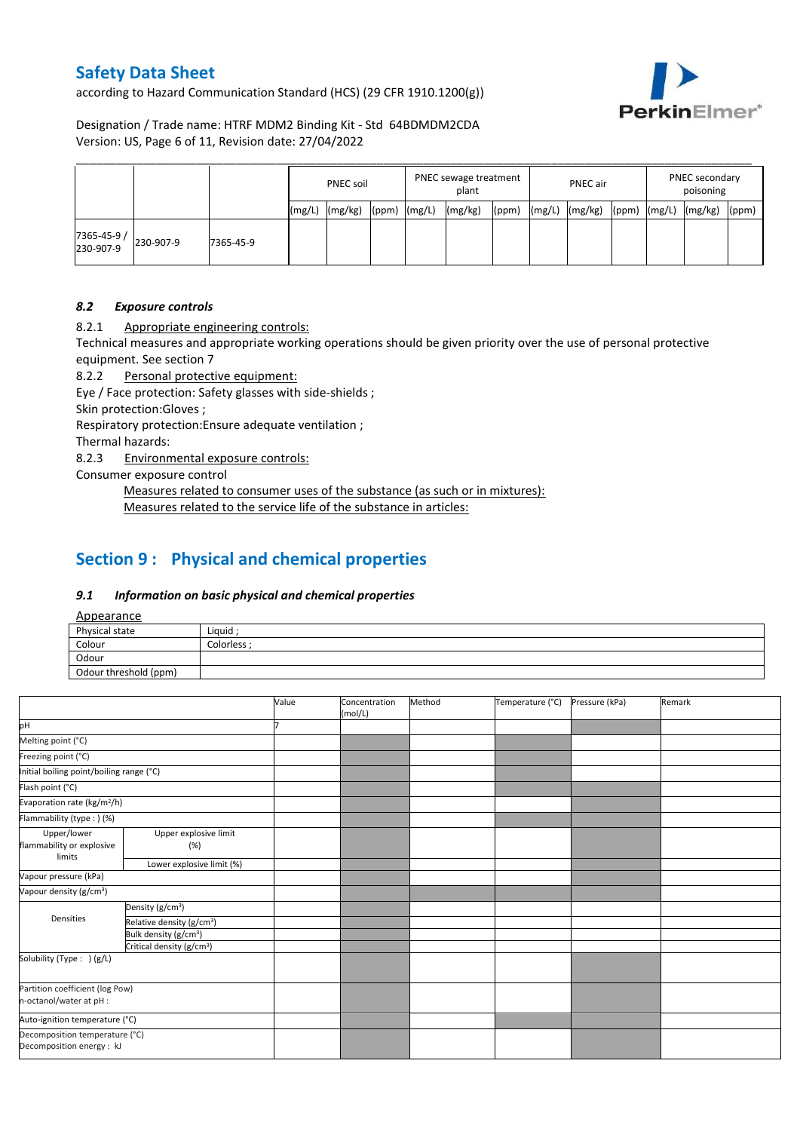according to Hazard Communication Standard (HCS) (29 CFR 1910.1200(g))



Designation / Trade name: HTRF MDM2 Binding Kit - Std 64BDMDM2CDA Version: US, Page 6 of 11, Revision date: 27/04/2022

|                         |           |           |        | PNEC soil |       |        | PNEC sewage treatment<br>plant |       |        | <b>PNEC</b> air |       |        | PNEC secondary<br>poisoning |       |
|-------------------------|-----------|-----------|--------|-----------|-------|--------|--------------------------------|-------|--------|-----------------|-------|--------|-----------------------------|-------|
|                         |           |           | (mg/L) | (mg/kg)   | (ppm) | (mg/L) | (mg/kg)                        | (ppm) | (mg/L) | (mg/kg)         | (ppm) | (mg/L) | (mg/kg)                     | (ppm) |
| 7365-45-9/<br>230-907-9 | 230-907-9 | 7365-45-9 |        |           |       |        |                                |       |        |                 |       |        |                             |       |

#### *8.2 Exposure controls*

8.2.1 Appropriate engineering controls:

Technical measures and appropriate working operations should be given priority over the use of personal protective equipment. See section 7

8.2.2 Personal protective equipment:

Eye / Face protection: Safety glasses with side-shields ;

Skin protection:Gloves ;

Respiratory protection:Ensure adequate ventilation ;

Thermal hazards:

8.2.3 Environmental exposure controls:

Consumer exposure control

Measures related to consumer uses of the substance (as such or in mixtures): Measures related to the service life of the substance in articles:

# **Section 9 : Physical and chemical properties**

#### *9.1 Information on basic physical and chemical properties*

Appearance

| $\frac{1}{2}$         |             |
|-----------------------|-------------|
| Physical state        | Liquid:     |
| Colour                | Colorless · |
| Odour                 |             |
| Odour threshold (ppm) |             |

|                                                             |                                       | Value | Concentration<br>(mol/L) | Method | Temperature (°C) | Pressure (kPa) | Remark |
|-------------------------------------------------------------|---------------------------------------|-------|--------------------------|--------|------------------|----------------|--------|
| pH                                                          |                                       |       |                          |        |                  |                |        |
| Melting point (°C)                                          |                                       |       |                          |        |                  |                |        |
| Freezing point (°C)                                         |                                       |       |                          |        |                  |                |        |
| Initial boiling point/boiling range (°C)                    |                                       |       |                          |        |                  |                |        |
| Flash point (°C)                                            |                                       |       |                          |        |                  |                |        |
| Evaporation rate (kg/m <sup>2</sup> /h)                     |                                       |       |                          |        |                  |                |        |
| Flammability (type:) (%)                                    |                                       |       |                          |        |                  |                |        |
| Upper/lower<br>flammability or explosive<br>limits          | Upper explosive limit<br>(%)          |       |                          |        |                  |                |        |
|                                                             | Lower explosive limit (%)             |       |                          |        |                  |                |        |
| Vapour pressure (kPa)                                       |                                       |       |                          |        |                  |                |        |
| Vapour density (g/cm <sup>3</sup> )                         |                                       |       |                          |        |                  |                |        |
|                                                             | Density (g/cm <sup>3</sup> )          |       |                          |        |                  |                |        |
| Densities                                                   | Relative density (g/cm <sup>3</sup> ) |       |                          |        |                  |                |        |
|                                                             | Bulk density (g/cm <sup>3</sup> )     |       |                          |        |                  |                |        |
|                                                             | Critical density (g/cm <sup>3</sup> ) |       |                          |        |                  |                |        |
| Solubility (Type: ) (g/L)                                   |                                       |       |                          |        |                  |                |        |
| Partition coefficient (log Pow)                             |                                       |       |                          |        |                  |                |        |
| n-octanol/water at pH :                                     |                                       |       |                          |        |                  |                |        |
| Auto-ignition temperature (°C)                              |                                       |       |                          |        |                  |                |        |
| Decomposition temperature (°C)<br>Decomposition energy : kJ |                                       |       |                          |        |                  |                |        |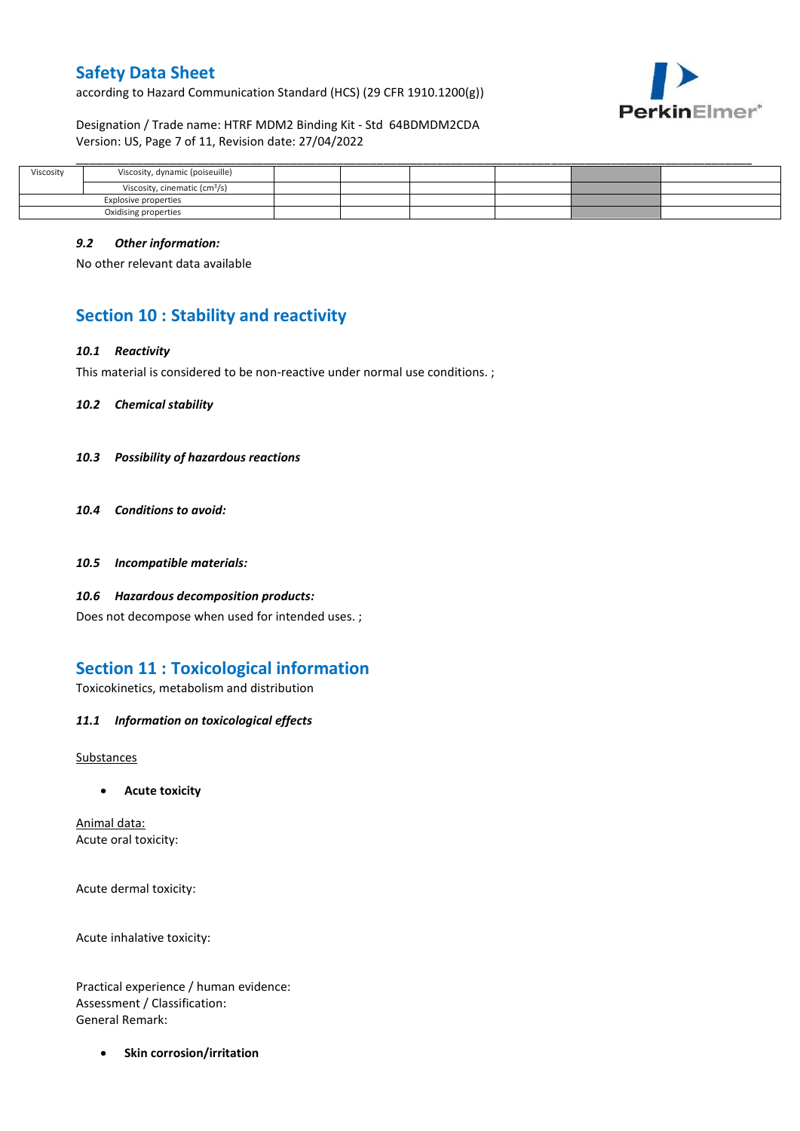according to Hazard Communication Standard (HCS) (29 CFR 1910.1200(g))



Designation / Trade name: HTRF MDM2 Binding Kit - Std 64BDMDM2CDA Version: US, Page 7 of 11, Revision date: 27/04/2022

| Viscosity | Viscosity, dynamic (poiseuille)           |  |  |  |
|-----------|-------------------------------------------|--|--|--|
|           | Viscosity, cinematic (cm <sup>3</sup> /s) |  |  |  |
|           | Explosive properties                      |  |  |  |
|           | Oxidising properties                      |  |  |  |

#### *9.2 Other information:*

No other relevant data available

# **Section 10 : Stability and reactivity**

#### *10.1 Reactivity*

This material is considered to be non-reactive under normal use conditions. ;

*10.2 Chemical stability*

- *10.3 Possibility of hazardous reactions*
- *10.4 Conditions to avoid:*
- *10.5 Incompatible materials:*
- *10.6 Hazardous decomposition products:*

Does not decompose when used for intended uses. ;

### **Section 11 : Toxicological information**

Toxicokinetics, metabolism and distribution

*11.1 Information on toxicological effects*

Substances

**Acute toxicity**

Animal data: Acute oral toxicity:

Acute dermal toxicity:

Acute inhalative toxicity:

Practical experience / human evidence: Assessment / Classification: General Remark:

**•** Skin corrosion/irritation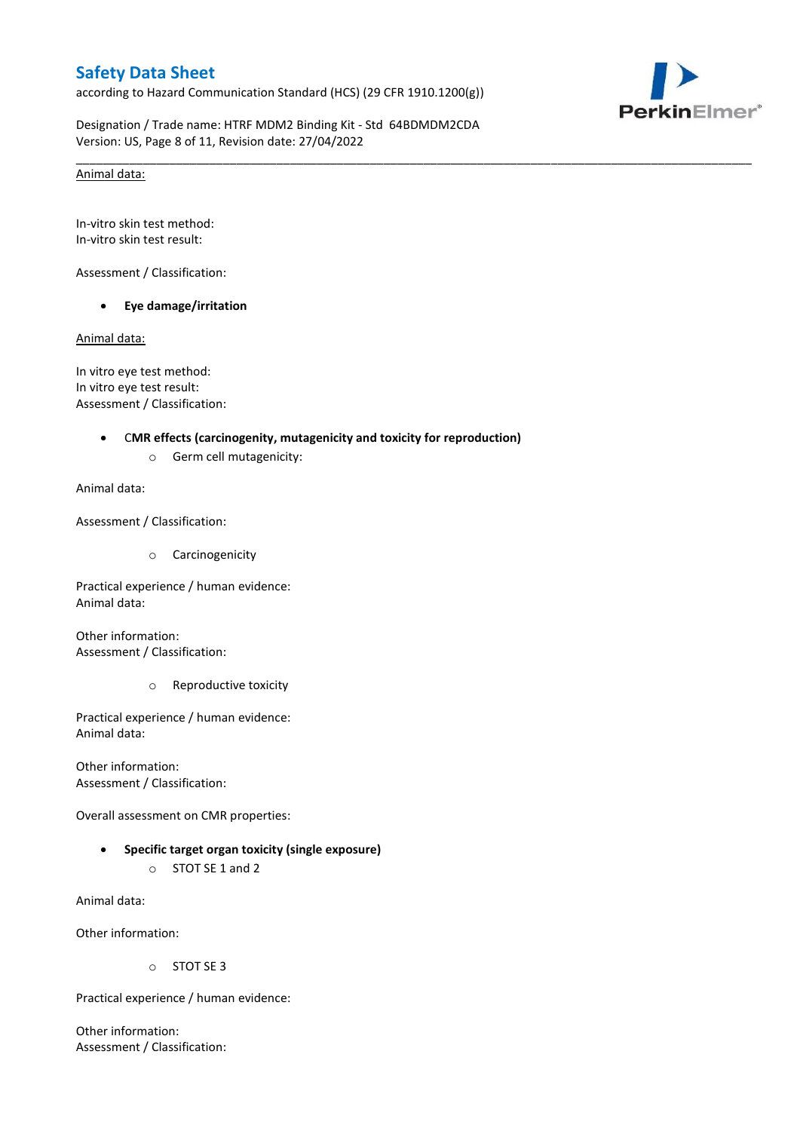according to Hazard Communication Standard (HCS) (29 CFR 1910.1200(g))



Designation / Trade name: HTRF MDM2 Binding Kit - Std 64BDMDM2CDA Version: US, Page 8 of 11, Revision date: 27/04/2022

\_\_\_\_\_\_\_\_\_\_\_\_\_\_\_\_\_\_\_\_\_\_\_\_\_\_\_\_\_\_\_\_\_\_\_\_\_\_\_\_\_\_\_\_\_\_\_\_\_\_\_\_\_\_\_\_\_\_\_\_\_\_\_\_\_\_\_\_\_\_\_\_\_\_\_\_\_\_\_\_\_\_\_\_\_\_\_\_\_\_\_\_\_\_\_\_\_\_\_\_\_

#### Animal data:

In-vitro skin test method: In-vitro skin test result:

Assessment / Classification:

**Eye damage/irritation**

Animal data:

In vitro eye test method: In vitro eye test result: Assessment / Classification:

#### C**MR effects (carcinogenity, mutagenicity and toxicity for reproduction)**

o Germ cell mutagenicity:

Animal data:

Assessment / Classification:

o Carcinogenicity

Practical experience / human evidence: Animal data:

Other information: Assessment / Classification:

o Reproductive toxicity

Practical experience / human evidence: Animal data:

Other information: Assessment / Classification:

Overall assessment on CMR properties:

 **Specific target organ toxicity (single exposure)** o STOT SE 1 and 2

Animal data:

Other information:

o STOT SE 3

Practical experience / human evidence:

Other information: Assessment / Classification: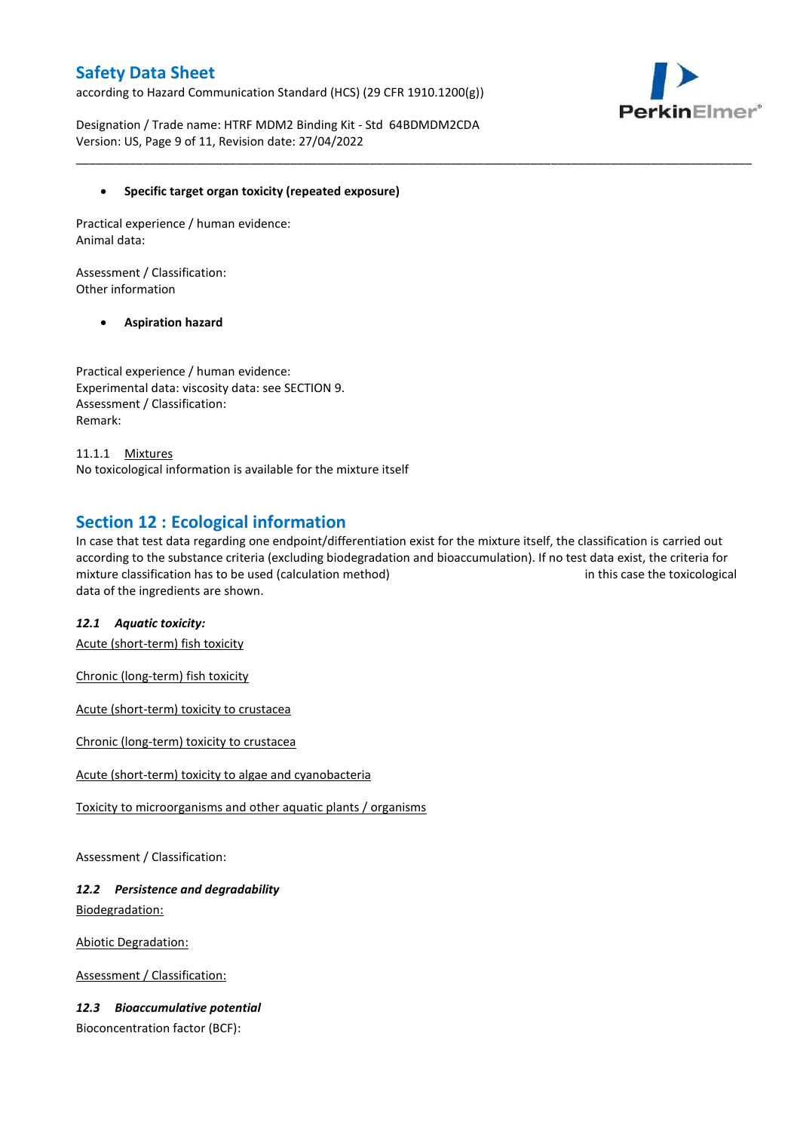according to Hazard Communication Standard (HCS) (29 CFR 1910.1200(g))



Designation / Trade name: HTRF MDM2 Binding Kit - Std 64BDMDM2CDA Version: US, Page 9 of 11, Revision date: 27/04/2022

#### **Specific target organ toxicity (repeated exposure)**

Practical experience / human evidence: Animal data:

Assessment / Classification: Other information

#### **Aspiration hazard**

Practical experience / human evidence: Experimental data: viscosity data: see SECTION 9. Assessment / Classification: Remark:

11.1.1 Mixtures No toxicological information is available for the mixture itself

### **Section 12 : Ecological information**

In case that test data regarding one endpoint/differentiation exist for the mixture itself, the classification is carried out according to the substance criteria (excluding biodegradation and bioaccumulation). If no test data exist, the criteria for mixture classification has to be used (calculation method) in this case the toxicological data of the ingredients are shown.

\_\_\_\_\_\_\_\_\_\_\_\_\_\_\_\_\_\_\_\_\_\_\_\_\_\_\_\_\_\_\_\_\_\_\_\_\_\_\_\_\_\_\_\_\_\_\_\_\_\_\_\_\_\_\_\_\_\_\_\_\_\_\_\_\_\_\_\_\_\_\_\_\_\_\_\_\_\_\_\_\_\_\_\_\_\_\_\_\_\_\_\_\_\_\_\_\_\_\_\_\_

### *12.1 Aquatic toxicity:*

Acute (short-term) fish toxicity

Chronic (long-term) fish toxicity

Acute (short-term) toxicity to crustacea

Chronic (long-term) toxicity to crustacea

Acute (short-term) toxicity to algae and cyanobacteria

Toxicity to microorganisms and other aquatic plants / organisms

Assessment / Classification:

### *12.2 Persistence and degradability* Biodegradation:

Abiotic Degradation:

Assessment / Classification:

### *12.3 Bioaccumulative potential*

Bioconcentration factor (BCF):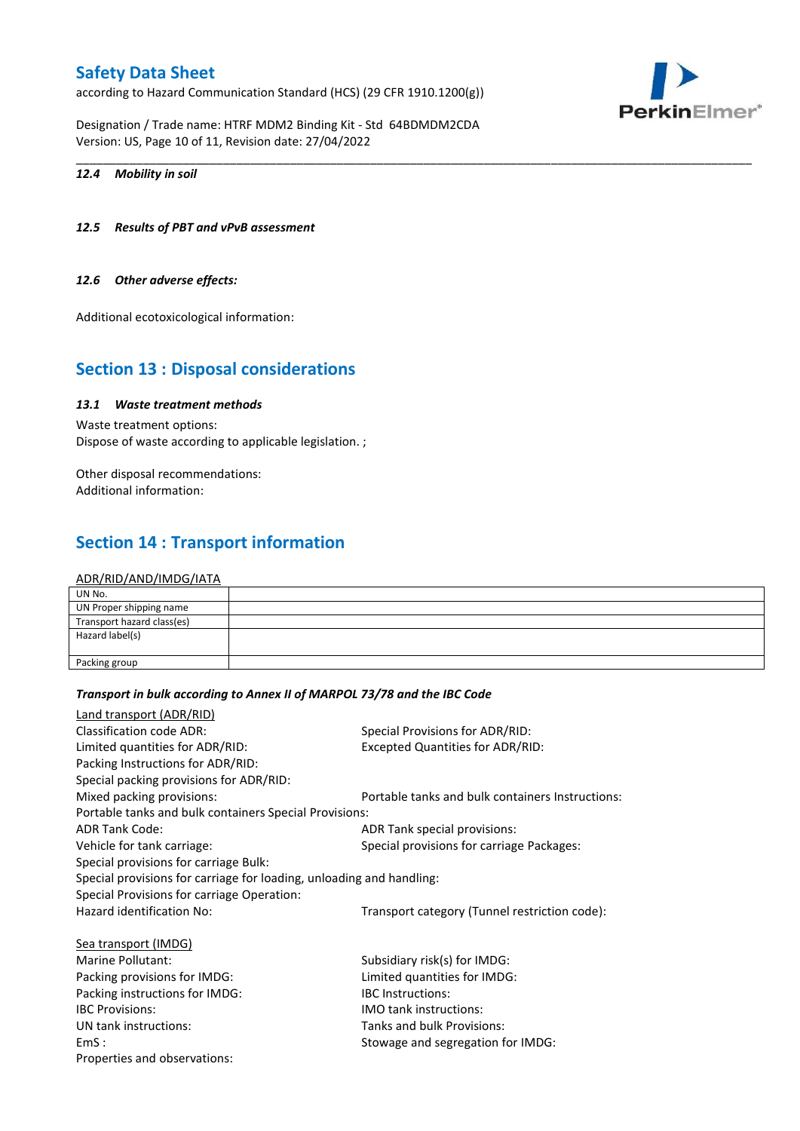according to Hazard Communication Standard (HCS) (29 CFR 1910.1200(g))

Designation / Trade name: HTRF MDM2 Binding Kit - Std 64BDMDM2CDA Version: US, Page 10 of 11, Revision date: 27/04/2022

#### *12.4 Mobility in soil*

#### *12.5 Results of PBT and vPvB assessment*

#### *12.6 Other adverse effects:*

Additional ecotoxicological information:

### **Section 13 : Disposal considerations**

### *13.1 Waste treatment methods*

Waste treatment options: Dispose of waste according to applicable legislation. ;

Other disposal recommendations: Additional information:

# **Section 14 : Transport information**

#### ADR/RID/AND/IMDG/IATA

| UN No.                     |  |
|----------------------------|--|
| UN Proper shipping name    |  |
| Transport hazard class(es) |  |
| Hazard label(s)            |  |
|                            |  |
| Packing group              |  |

\_\_\_\_\_\_\_\_\_\_\_\_\_\_\_\_\_\_\_\_\_\_\_\_\_\_\_\_\_\_\_\_\_\_\_\_\_\_\_\_\_\_\_\_\_\_\_\_\_\_\_\_\_\_\_\_\_\_\_\_\_\_\_\_\_\_\_\_\_\_\_\_\_\_\_\_\_\_\_\_\_\_\_\_\_\_\_\_\_\_\_\_\_\_\_\_\_\_\_\_\_

#### *Transport in bulk according to Annex II of MARPOL 73/78 and the IBC Code*

| Land transport (ADR/RID)                                             |                                                  |
|----------------------------------------------------------------------|--------------------------------------------------|
| Classification code ADR:                                             | Special Provisions for ADR/RID:                  |
| Limited quantities for ADR/RID:                                      | <b>Excepted Quantities for ADR/RID:</b>          |
| Packing Instructions for ADR/RID:                                    |                                                  |
| Special packing provisions for ADR/RID:                              |                                                  |
| Mixed packing provisions:                                            | Portable tanks and bulk containers Instructions: |
| Portable tanks and bulk containers Special Provisions:               |                                                  |
| <b>ADR Tank Code:</b>                                                | ADR Tank special provisions:                     |
| Vehicle for tank carriage:                                           | Special provisions for carriage Packages:        |
| Special provisions for carriage Bulk:                                |                                                  |
| Special provisions for carriage for loading, unloading and handling: |                                                  |
| Special Provisions for carriage Operation:                           |                                                  |
| Hazard identification No:                                            | Transport category (Tunnel restriction code):    |
| Sea transport (IMDG)                                                 |                                                  |
| Marine Pollutant:                                                    | Subsidiary risk(s) for IMDG:                     |
| Packing provisions for IMDG:                                         | Limited quantities for IMDG:                     |
| Packing instructions for IMDG:                                       | <b>IBC</b> Instructions:                         |
| <b>IBC Provisions:</b>                                               | <b>IMO tank instructions:</b>                    |
| UN tank instructions:                                                | Tanks and bulk Provisions:                       |
| EmS:                                                                 | Stowage and segregation for IMDG:                |
| Properties and observations:                                         |                                                  |